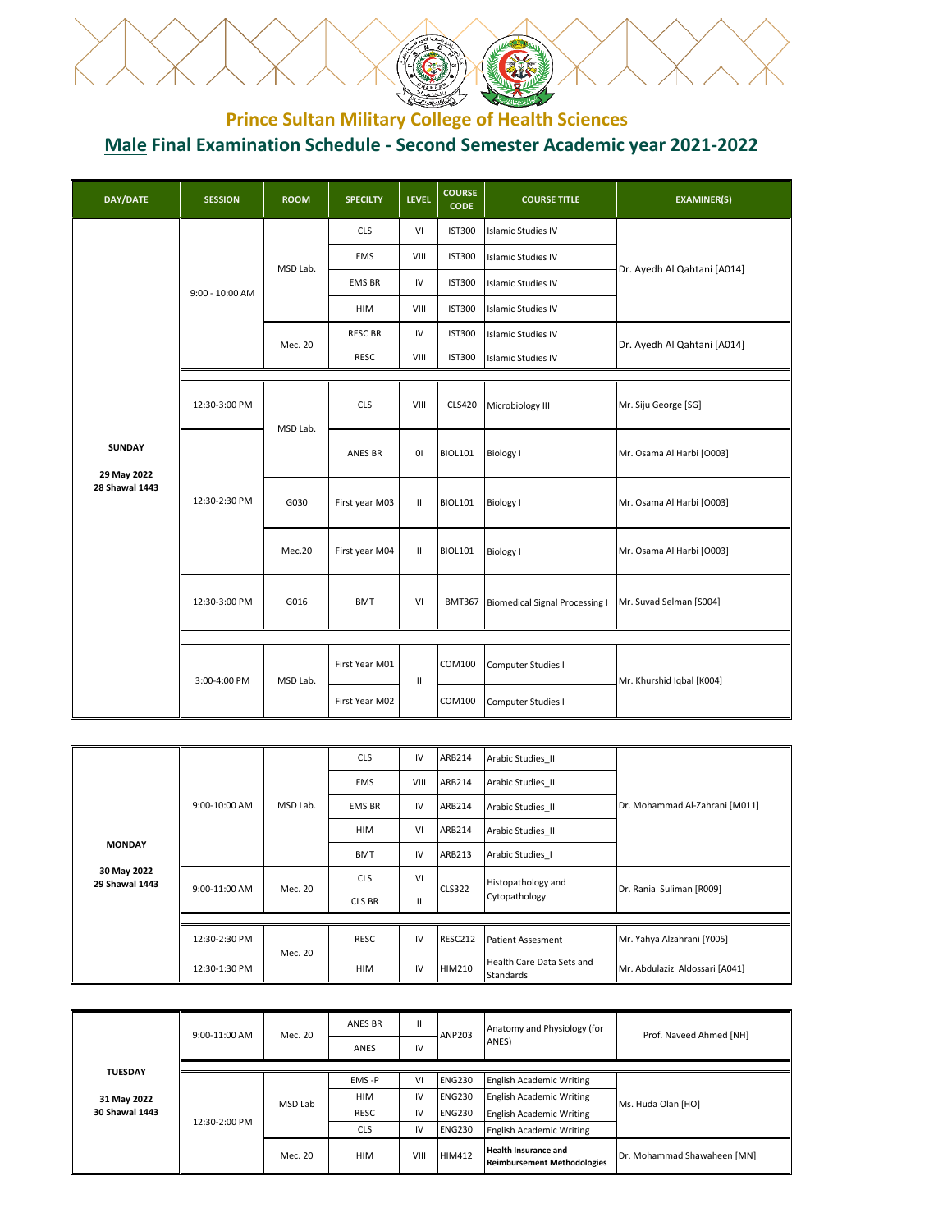

## **Prince Sultan Military College of Health Sciences Male Final Examination Schedule - Second Semester Academic year 2021-2022**

| <b>DAY/DATE</b>              | <b>SESSION</b>    | <b>ROOM</b> | <b>SPECILTY</b> | <b>LEVEL</b> | <b>COURSE</b><br><b>CODE</b> | <b>COURSE TITLE</b>                   | <b>EXAMINER(S)</b>          |
|------------------------------|-------------------|-------------|-----------------|--------------|------------------------------|---------------------------------------|-----------------------------|
|                              |                   |             | <b>CLS</b>      | VI           | <b>IST300</b>                | <b>Islamic Studies IV</b>             |                             |
|                              |                   | MSD Lab.    | <b>EMS</b>      | VIII         | <b>IST300</b>                | <b>Islamic Studies IV</b>             | Dr. Ayedh Al Qahtani [A014] |
|                              | $9:00 - 10:00$ AM |             | <b>EMS BR</b>   | IV           | <b>IST300</b>                | <b>Islamic Studies IV</b>             |                             |
|                              |                   |             | HIM             | VIII         | <b>IST300</b>                | <b>Islamic Studies IV</b>             |                             |
|                              |                   | Mec. 20     | <b>RESC BR</b>  | IV           | <b>IST300</b>                | <b>Islamic Studies IV</b>             | Dr. Ayedh Al Qahtani [A014] |
|                              |                   |             | <b>RESC</b>     | VIII         | <b>IST300</b>                | <b>Islamic Studies IV</b>             |                             |
|                              |                   |             |                 |              |                              |                                       |                             |
|                              | 12:30-3:00 PM     | MSD Lab.    | <b>CLS</b>      | VIII         | <b>CLS420</b>                | Microbiology III                      | Mr. Siju George [SG]        |
| <b>SUNDAY</b><br>29 May 2022 |                   |             | ANES BR         | 0I           | <b>BIOL101</b>               | <b>Biology I</b>                      | Mr. Osama Al Harbi [O003]   |
| <b>28 Shawal 1443</b>        | 12:30-2:30 PM     | G030        | First year M03  | $\mathbf{H}$ | <b>BIOL101</b>               | <b>Biology I</b>                      | Mr. Osama Al Harbi [O003]   |
|                              |                   | Mec.20      | First year M04  | $\mathbf{H}$ | <b>BIOL101</b>               | <b>Biology I</b>                      | Mr. Osama Al Harbi [O003]   |
|                              | 12:30-3:00 PM     | G016        | <b>BMT</b>      | VI           | <b>BMT367</b>                | <b>Biomedical Signal Processing I</b> | Mr. Suvad Selman [S004]     |
|                              |                   |             |                 |              |                              |                                       |                             |
|                              | 3:00-4:00 PM      | MSD Lab.    | First Year M01  | $\mathbf{H}$ | COM100                       | Computer Studies I                    | Mr. Khurshid Iqbal [K004]   |
|                              |                   |             | First Year M02  |              | <b>COM100</b>                | Computer Studies I                    |                             |

|                               |                 |          | <b>CLS</b>    | IV           | ARB214         | Arabic Studies II                      |                                |
|-------------------------------|-----------------|----------|---------------|--------------|----------------|----------------------------------------|--------------------------------|
|                               |                 |          | <b>EMS</b>    | VIII         | ARB214         | Arabic Studies II                      |                                |
|                               | $9:00-10:00$ AM | MSD Lab. | <b>EMS BR</b> | IV           | ARB214         | Arabic Studies II                      | Dr. Mohammad Al-Zahrani [M011] |
|                               |                 |          | <b>HIM</b>    | VI           | ARB214         | Arabic Studies II                      |                                |
| <b>MONDAY</b>                 |                 |          | <b>BMT</b>    | IV           | ARB213         | Arabic Studies 1                       |                                |
| 30 May 2022<br>29 Shawal 1443 | 9:00-11:00 AM   | Mec. 20  | <b>CLS</b>    | VI           | <b>CLS322</b>  | Histopathology and                     | Dr. Rania Suliman [R009]       |
|                               |                 |          | CLS BR        | $\mathbf{H}$ |                | Cytopathology                          |                                |
|                               |                 |          |               |              |                |                                        |                                |
|                               | 12:30-2:30 PM   | Mec. 20  | <b>RESC</b>   | IV           | <b>RESC212</b> | <b>Patient Assesment</b>               | Mr. Yahya Alzahrani [Y005]     |
|                               | 12:30-1:30 PM   |          | <b>HIM</b>    | IV           | <b>HIM210</b>  | Health Care Data Sets and<br>Standards | Mr. Abdulaziz Aldossari [A041] |

|                | $9:00-11:00$ AM | Mec. 20 | <b>ANES BR</b><br>ANES | $\mathsf{II}$<br>IV | <b>ANP203</b> | Anatomy and Physiology (for<br>ANES)                              | Prof. Naveed Ahmed [NH]     |
|----------------|-----------------|---------|------------------------|---------------------|---------------|-------------------------------------------------------------------|-----------------------------|
| <b>TUESDAY</b> |                 |         |                        |                     |               |                                                                   |                             |
|                | 31 May 2022     | MSD Lab | EMS-P                  | VI                  | <b>ENG230</b> | <b>English Academic Writing</b>                                   |                             |
|                |                 |         | <b>HIM</b>             | IV                  | <b>ENG230</b> | <b>English Academic Writing</b>                                   | Ms. Huda Olan [HO]          |
| 30 Shawal 1443 |                 |         | <b>RESC</b>            | IV                  | <b>ENG230</b> | <b>English Academic Writing</b>                                   |                             |
|                | 12:30-2:00 PM   |         | <b>CLS</b>             | IV                  | <b>ENG230</b> | <b>English Academic Writing</b>                                   |                             |
|                |                 | Mec. 20 | <b>HIM</b>             | VIII                | <b>HIM412</b> | <b>Health Insurance and</b><br><b>Reimbursement Methodologies</b> | Dr. Mohammad Shawaheen [MN] |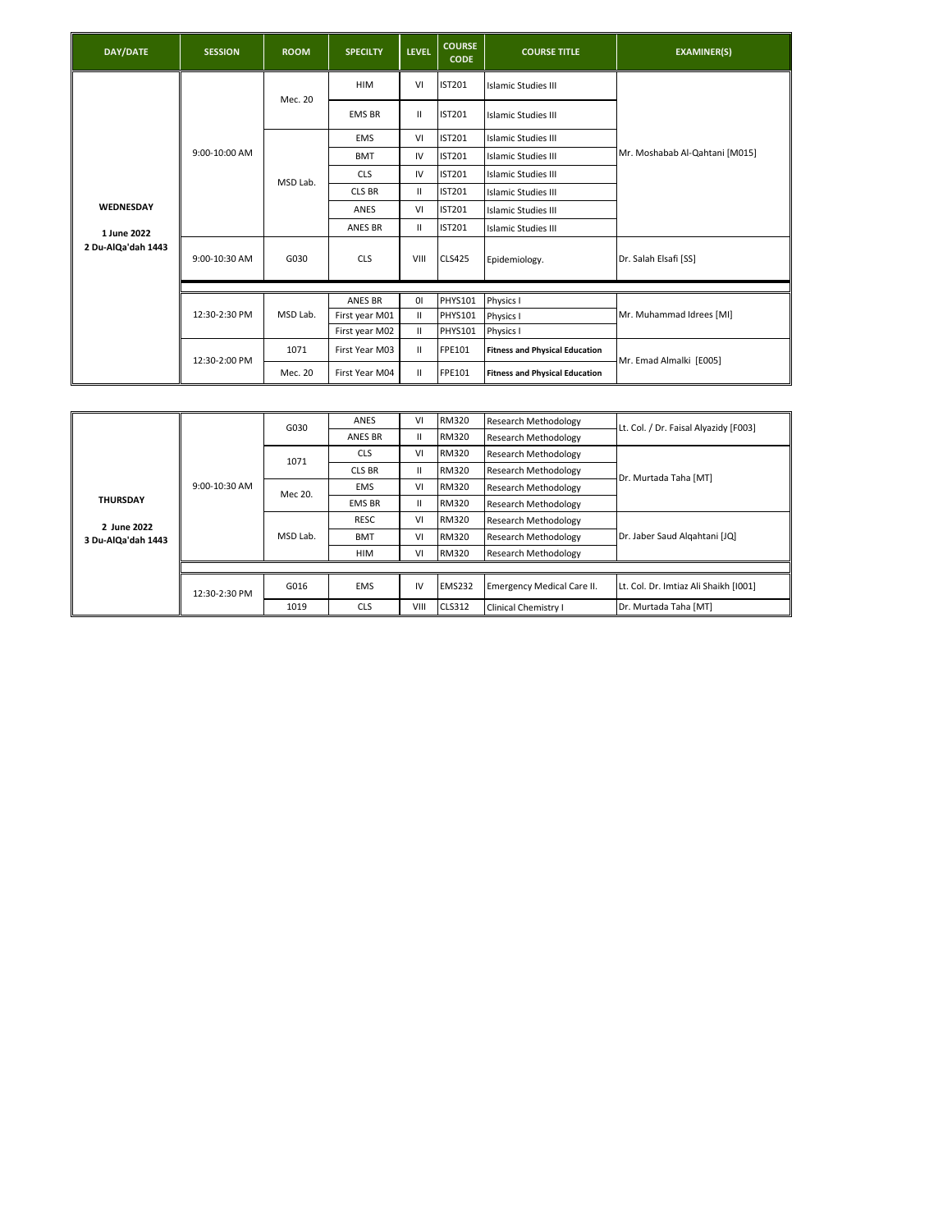| DAY/DATE           | <b>SESSION</b> | <b>ROOM</b> | <b>SPECILTY</b> | <b>LEVEL</b>   | <b>COURSE</b><br><b>CODE</b> | <b>COURSE TITLE</b>                   | <b>EXAMINER(S)</b>             |
|--------------------|----------------|-------------|-----------------|----------------|------------------------------|---------------------------------------|--------------------------------|
|                    |                | Mec. 20     | <b>HIM</b>      | VI             | <b>IST201</b>                | Islamic Studies III                   |                                |
|                    |                |             | <b>EMS BR</b>   | Ш              | <b>IST201</b>                | Islamic Studies III                   |                                |
|                    |                |             | <b>EMS</b>      | VI             | <b>IST201</b>                | Islamic Studies III                   |                                |
|                    | 9:00-10:00 AM  |             | <b>BMT</b>      | IV             | <b>IST201</b>                | Islamic Studies III                   | Mr. Moshabab Al-Qahtani [M015] |
| WEDNESDAY          |                | MSD Lab.    | <b>CLS</b>      | IV             | <b>IST201</b>                | Islamic Studies III                   |                                |
|                    |                |             | <b>CLS BR</b>   | Ш              | <b>IST201</b>                | <b>Islamic Studies III</b>            |                                |
|                    |                |             | ANES            | VI             | <b>IST201</b>                | <b>Islamic Studies III</b>            |                                |
| 1 June 2022        |                |             | ANES BR         | Ш              | <b>IST201</b>                | Islamic Studies III                   |                                |
| 2 Du-AlQa'dah 1443 | 9:00-10:30 AM  | G030        | <b>CLS</b>      | VIII           | <b>CLS425</b>                | Epidemiology.                         | Dr. Salah Elsafi [SS]          |
|                    |                |             |                 |                |                              |                                       |                                |
|                    |                |             | ANES BR         | $\overline{0}$ | PHYS101                      | Physics I                             |                                |
|                    | 12:30-2:30 PM  | MSD Lab.    | First year M01  | Ш              | <b>PHYS101</b>               | Physics I                             | Mr. Muhammad Idrees [MI]       |
|                    |                |             | First year M02  | Ш              | <b>PHYS101</b>               | Physics I                             |                                |
|                    | 12:30-2:00 PM  | 1071        | First Year M03  | $\mathbf{H}$   | FPE101                       | <b>Fitness and Physical Education</b> | Mr. Emad Almalki [E005]        |
|                    |                | Mec. 20     | First Year M04  | $\mathbf{H}$   | FPE101                       | <b>Fitness and Physical Education</b> |                                |

|                    |                 | G030     | ANES          | VI           | RM320         | <b>Research Methodology</b>       | Lt. Col. / Dr. Faisal Alyazidy [F003] |
|--------------------|-----------------|----------|---------------|--------------|---------------|-----------------------------------|---------------------------------------|
|                    |                 |          | ANES BR       | $\mathbf{H}$ | <b>RM320</b>  | Research Methodology              |                                       |
|                    |                 | 1071     | <b>CLS</b>    | VI           | <b>RM320</b>  | <b>Research Methodology</b>       |                                       |
|                    |                 |          | <b>CLS BR</b> | $\mathbf{H}$ | <b>RM320</b>  | <b>Research Methodology</b>       | Dr. Murtada Taha [MT]                 |
|                    | $9:00-10:30$ AM | Mec 20.  | <b>EMS</b>    | VI           | <b>RM320</b>  | Research Methodology              |                                       |
| <b>THURSDAY</b>    |                 |          | <b>EMS BR</b> | $\mathbf{H}$ | <b>RM320</b>  | Research Methodology              |                                       |
| 2 June 2022        |                 | MSD Lab. | RESC          | VI           | <b>RM320</b>  | Research Methodology              |                                       |
| 3 Du-AlQa'dah 1443 |                 |          | <b>BMT</b>    | VI           | <b>RM320</b>  | <b>Research Methodology</b>       | Dr. Jaber Saud Algahtani [JQ]         |
|                    |                 |          | <b>HIM</b>    | VI           | <b>RM320</b>  | <b>Research Methodology</b>       |                                       |
|                    |                 |          |               |              |               |                                   |                                       |
|                    | 12:30-2:30 PM   | G016     | <b>EMS</b>    | IV           | <b>EMS232</b> | <b>Emergency Medical Care II.</b> | Lt. Col. Dr. Imtiaz Ali Shaikh [1001] |
|                    |                 | 1019     | <b>CLS</b>    | VIII         | <b>CLS312</b> | Clinical Chemistry I              | Dr. Murtada Taha [MT]                 |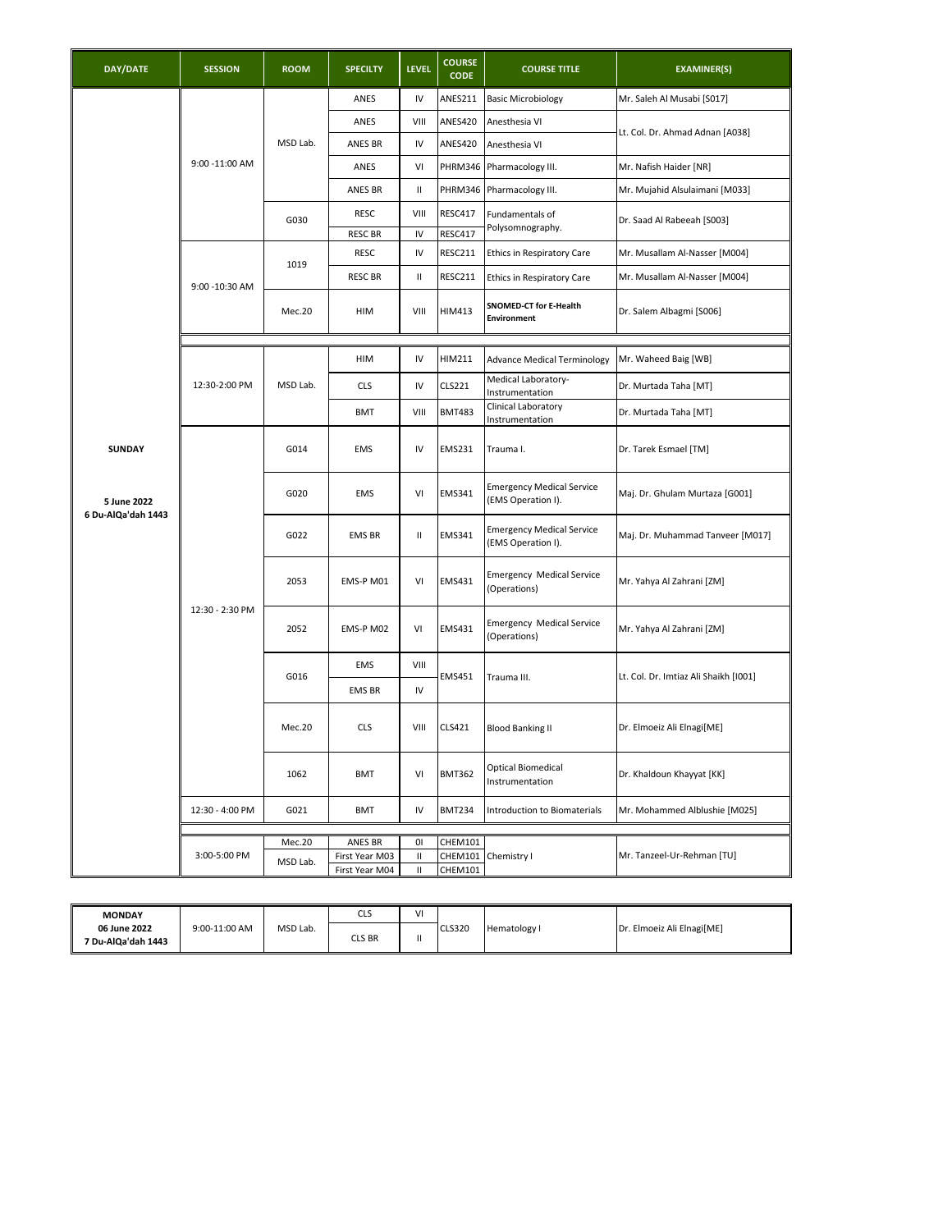| DAY/DATE           | <b>SESSION</b>  | <b>ROOM</b> | <b>SPECILTY</b>           | <b>LEVEL</b> | <b>COURSE</b><br><b>CODE</b> | <b>COURSE TITLE</b>                                    | <b>EXAMINER(S)</b>                    |
|--------------------|-----------------|-------------|---------------------------|--------------|------------------------------|--------------------------------------------------------|---------------------------------------|
|                    |                 |             | ANES                      | IV           | ANES211                      | <b>Basic Microbiology</b>                              | Mr. Saleh Al Musabi [S017]            |
|                    |                 |             | ANES                      | VIII         | ANES420                      | Anesthesia VI                                          | Lt. Col. Dr. Ahmad Adnan [A038]       |
|                    |                 | MSD Lab.    | ANES BR                   | IV           | ANES420                      | Anesthesia VI                                          |                                       |
|                    | 9:00 - 11:00 AM |             | ANES                      | VI           | PHRM346                      | Pharmacology III.                                      | Mr. Nafish Haider [NR]                |
|                    |                 |             | ANES BR                   | Ш            | PHRM346                      | Pharmacology III.                                      | Mr. Mujahid Alsulaimani [M033]        |
|                    |                 | G030        | <b>RESC</b>               | VIII         | RESC417                      | Fundamentals of                                        | Dr. Saad Al Rabeeah [S003]            |
|                    |                 |             | <b>RESC BR</b>            | IV           | RESC417                      | Polysomnography.                                       |                                       |
|                    |                 | 1019        | <b>RESC</b>               | IV           | RESC211                      | Ethics in Respiratory Care                             | Mr. Musallam Al-Nasser [M004]         |
|                    | 9:00 - 10:30 AM |             | <b>RESC BR</b>            | Ш            | RESC211                      | Ethics in Respiratory Care                             | Mr. Musallam Al-Nasser [M004]         |
|                    |                 | Mec.20      | HIM                       | VIII         | HIM413                       | SNOMED-CT for E-Health<br><b>Environment</b>           | Dr. Salem Albagmi [S006]              |
|                    |                 |             |                           |              |                              |                                                        |                                       |
|                    |                 |             | HIM                       | IV           | HIM211                       | <b>Advance Medical Terminology</b>                     | Mr. Waheed Baig [WB]                  |
|                    | 12:30-2:00 PM   | MSD Lab.    | <b>CLS</b>                | IV           | CLS221                       | Medical Laboratory-<br>Instrumentation                 | Dr. Murtada Taha [MT]                 |
|                    |                 |             | <b>BMT</b>                | VIII         | <b>BMT483</b>                | Clinical Laboratory<br>Instrumentation                 | Dr. Murtada Taha [MT]                 |
| <b>SUNDAY</b>      |                 | G014        | <b>EMS</b>                | IV           | <b>EMS231</b>                | Trauma I.                                              | Dr. Tarek Esmael [TM]                 |
| 5 June 2022        |                 | G020        | <b>EMS</b>                | VI           | <b>EMS341</b>                | <b>Emergency Medical Service</b><br>(EMS Operation I). | Maj. Dr. Ghulam Murtaza [G001]        |
| 6 Du-AlQa'dah 1443 |                 | G022        | <b>EMS BR</b>             | Ш            | EMS341                       | <b>Emergency Medical Service</b><br>(EMS Operation I). | Maj. Dr. Muhammad Tanveer [M017]      |
|                    |                 | 2053        | EMS-P M01                 | VI           | EMS431                       | <b>Emergency Medical Service</b><br>(Operations)       | Mr. Yahya Al Zahrani [ZM]             |
|                    | 12:30 - 2:30 PM | 2052        | EMS-P M02                 | VI           | EMS431                       | <b>Emergency Medical Service</b><br>(Operations)       | Mr. Yahya Al Zahrani [ZM]             |
|                    |                 |             | EMS                       | VIII         |                              |                                                        |                                       |
|                    |                 | G016        | <b>EMS BR</b>             | IV           | <b>EMS451</b>                | Trauma III.                                            | Lt. Col. Dr. Imtiaz Ali Shaikh [1001] |
|                    |                 | Mec.20      | <b>CLS</b>                | VIII         | <b>CLS421</b>                | <b>Blood Banking II</b>                                | Dr. Elmoeiz Ali Elnagi[ME]            |
|                    |                 | 1062        | BMT                       | VI           | <b>BMT362</b>                | <b>Optical Biomedical</b><br>Instrumentation           | Dr. Khaldoun Khayyat [KK]             |
|                    | 12:30 - 4:00 PM | G021        | <b>BMT</b>                | IV           | <b>BMT234</b>                | Introduction to Biomaterials                           | Mr. Mohammed Alblushie [M025]         |
|                    |                 |             |                           |              |                              |                                                        |                                       |
|                    | 3:00-5:00 PM    | Mec.20      | ANES BR<br>First Year M03 | 01<br>Ш      | CHEM101<br>CHEM101           | Chemistry I                                            | Mr. Tanzeel-Ur-Rehman [TU]            |
|                    |                 | MSD Lab.    | First Year M04            | $\mathbf{H}$ | CHEM101                      |                                                        |                                       |

| <b>MONDAY</b>                      |               |          | $\sim$<br>ີ | ٧I |               |              |                                 |
|------------------------------------|---------------|----------|-------------|----|---------------|--------------|---------------------------------|
| 06 June 2022<br>7 Du-AlQa'dah 1443 | 9:00-11:00 AM | MSD Lab. | cls Br      |    | <b>CLS320</b> | Hematology I | . Elmoeiz Ali Elnagi[ME]<br>Dr. |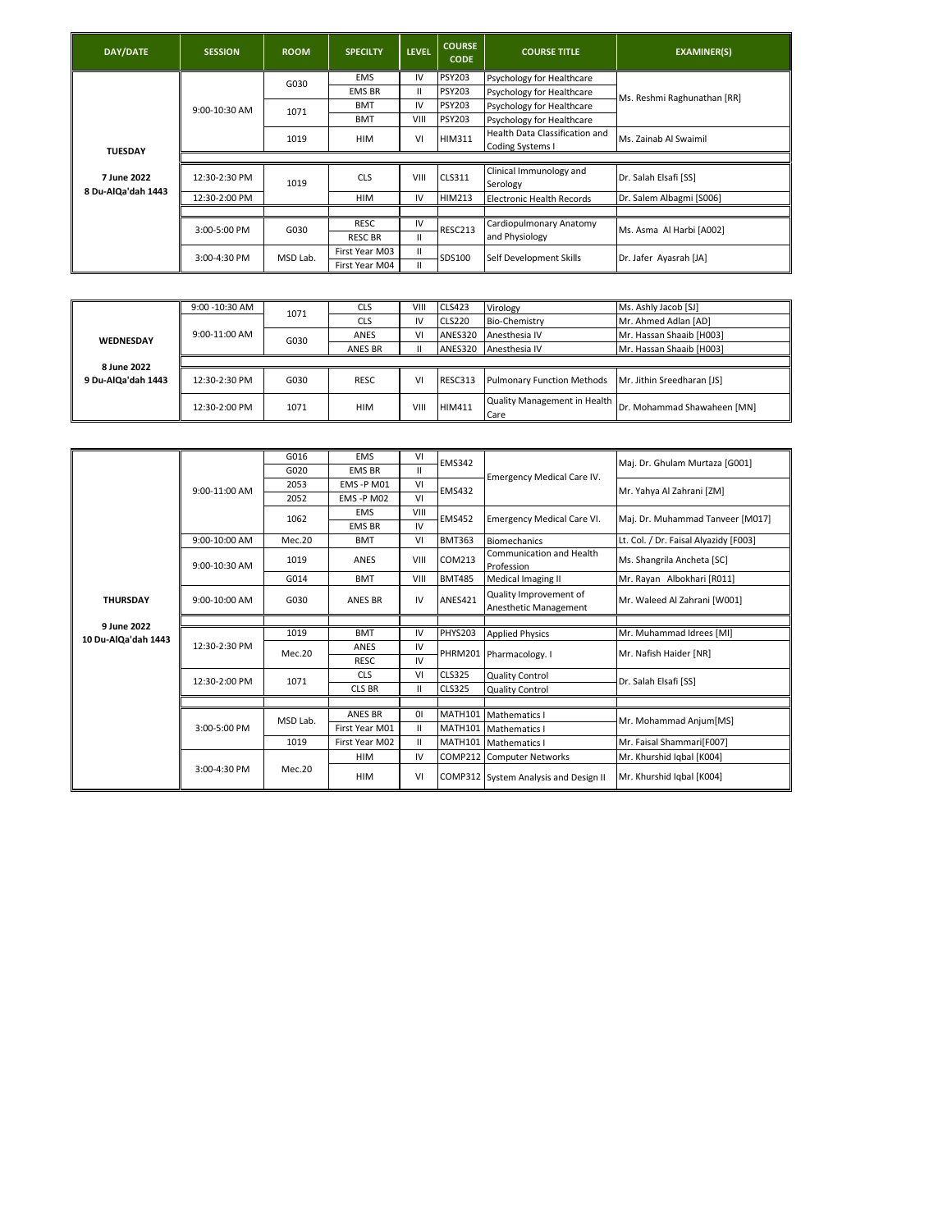| DAY/DATE                          | <b>SESSION</b>  | <b>ROOM</b> | <b>SPECILTY</b> | <b>LEVEL</b> | <b>COURSE</b><br><b>CODE</b> | <b>COURSE TITLE</b>                                       | <b>EXAMINER(S)</b>          |
|-----------------------------------|-----------------|-------------|-----------------|--------------|------------------------------|-----------------------------------------------------------|-----------------------------|
|                                   |                 | G030        | <b>EMS</b>      | IV           | <b>PSY203</b>                | Psychology for Healthcare                                 |                             |
|                                   |                 |             | <b>EMS BR</b>   | Ш            | <b>PSY203</b>                | Psychology for Healthcare                                 | Ms. Reshmi Raghunathan [RR] |
|                                   | $9:00-10:30$ AM | 1071        | <b>BMT</b>      | IV           | <b>PSY203</b>                | Psychology for Healthcare                                 |                             |
|                                   |                 |             | <b>BMT</b>      | VIII         | <b>PSY203</b>                | Psychology for Healthcare                                 |                             |
| <b>TUESDAY</b>                    |                 | 1019        | <b>HIM</b>      | VI           | <b>HIM311</b>                | Health Data Classification and<br><b>Coding Systems I</b> | Ms. Zainab Al Swaimil       |
|                                   |                 |             |                 |              |                              |                                                           |                             |
| 7 June 2022<br>8 Du-AlQa'dah 1443 | 12:30-2:30 PM   | 1019        | <b>CLS</b>      | VIII         | <b>CLS311</b>                | Clinical Immunology and<br>Serology                       | Dr. Salah Elsafi [SS]       |
|                                   | 12:30-2:00 PM   |             | <b>HIM</b>      | IV           | <b>HIM213</b>                | Electronic Health Records                                 | Dr. Salem Albagmi [S006]    |
|                                   |                 |             |                 |              |                              |                                                           |                             |
|                                   | 3:00-5:00 PM    | G030        | RESC            | IV           | RESC213                      | Cardiopulmonary Anatomy                                   | Ms. Asma Al Harbi [A002]    |
|                                   |                 |             | <b>RESC BR</b>  | Ш            |                              | and Physiology                                            |                             |
|                                   | 3:00-4:30 PM    | MSD Lab.    | First Year M03  | Ш            | SDS100                       | Self Development Skills                                   |                             |
|                                   |                 |             | First Year M04  | Ш.           |                              |                                                           | Dr. Jafer Ayasrah [JA]      |

|                    | 9:00 - 10:30 AM | 1071 | <b>CLS</b>     | VIII | <b>CLS423</b> | Virology                             | Ms. Ashly Jacob [SJ]        |
|--------------------|-----------------|------|----------------|------|---------------|--------------------------------------|-----------------------------|
|                    |                 |      | <b>CLS</b>     | IV   | <b>CLS220</b> | <b>Bio-Chemistry</b>                 | Mr. Ahmed Adlan [AD]        |
| <b>WEDNESDAY</b>   | 9:00-11:00 AM   | G030 | ANES           | VI   | ANES320       | Anesthesia IV                        | Mr. Hassan Shaaib [H003]    |
|                    |                 |      | <b>ANES BR</b> | Ш    | ANES320       | Anesthesia IV                        | Mr. Hassan Shaaib [H003]    |
| 8 June 2022        |                 |      |                |      |               |                                      |                             |
| 9 Du-AlQa'dah 1443 | 12:30-2:30 PM   | G030 | RESC.          | VI   | RESC313       | <b>Pulmonary Function Methods</b>    | Mr. Jithin Sreedharan [JS]  |
|                    | 12:30-2:00 PM   | 1071 | HIM            | VIII | <b>HIM411</b> | Quality Management in Health<br>Care | Dr. Mohammad Shawaheen [MN] |

|                     |                 | G016     | <b>EMS</b>     | VI           | <b>EMS342</b>  |                                                 |                                       |
|---------------------|-----------------|----------|----------------|--------------|----------------|-------------------------------------------------|---------------------------------------|
|                     |                 | G020     | <b>EMS BR</b>  | $\mathbf{H}$ |                |                                                 | Maj. Dr. Ghulam Murtaza [G001]        |
|                     | $9:00-11:00$ AM | 2053     | EMS -P M01     | VI           | <b>EMS432</b>  | Emergency Medical Care IV.                      | Mr. Yahya Al Zahrani [ZM]             |
|                     |                 | 2052     | EMS-PM02       | VI           |                |                                                 |                                       |
|                     |                 | 1062     | <b>EMS</b>     | VIII         | <b>EMS452</b>  | <b>Emergency Medical Care VI.</b>               | Maj. Dr. Muhammad Tanveer [M017]      |
|                     |                 |          | <b>EMS BR</b>  | IV           |                |                                                 |                                       |
|                     | 9:00-10:00 AM   | Mec.20   | <b>BMT</b>     | VI           | <b>BMT363</b>  | <b>Biomechanics</b>                             | Lt. Col. / Dr. Faisal Alyazidy [F003] |
|                     | 9:00-10:30 AM   | 1019     | ANES           | VIII         | COM213         | Communication and Health<br>Profession          | Ms. Shangrila Ancheta [SC]            |
|                     |                 | G014     | <b>BMT</b>     | VIII         | <b>BMT485</b>  | Medical Imaging II                              | Mr. Rayan Albokhari [R011]            |
| <b>THURSDAY</b>     | 9:00-10:00 AM   | G030     | <b>ANES BR</b> | IV           | ANES421        | Quality Improvement of<br>Anesthetic Management | Mr. Waleed Al Zahrani [W001]          |
| 9 June 2022         |                 |          |                |              |                |                                                 |                                       |
| 10 Du-AlQa'dah 1443 |                 | 1019     | <b>BMT</b>     | IV           | <b>PHYS203</b> | <b>Applied Physics</b>                          | Mr. Muhammad Idrees [MI]              |
|                     | 12:30-2:30 PM   | Mec.20   | ANES           | IV           |                | PHRM201 Pharmacology. I                         | Mr. Nafish Haider [NR]                |
|                     |                 |          | <b>RESC</b>    | IV           |                |                                                 |                                       |
|                     | 12:30-2:00 PM   | 1071     | <b>CLS</b>     | VI           | <b>CLS325</b>  | <b>Quality Control</b>                          | Dr. Salah Elsafi [SS]                 |
|                     |                 |          | <b>CLS BR</b>  | $\mathbf{H}$ | <b>CLS325</b>  | <b>Quality Control</b>                          |                                       |
|                     |                 |          |                |              |                |                                                 |                                       |
|                     |                 | MSD Lab. | <b>ANES BR</b> | 01           | <b>MATH101</b> | <b>Mathematics I</b>                            | Mr. Mohammad Anjum[MS]                |
|                     | 3:00-5:00 PM    |          | First Year M01 | $\mathbf{H}$ | <b>MATH101</b> | <b>Mathematics I</b>                            |                                       |
|                     |                 | 1019     | First Year M02 | $\mathbf{H}$ | <b>MATH101</b> | Mathematics I                                   | Mr. Faisal Shammari[F007]             |
|                     |                 |          | <b>HIM</b>     | IV           | COMP212        | <b>Computer Networks</b>                        | Mr. Khurshid Iqbal [K004]             |
|                     | 3:00-4:30 PM    | Mec. 20  | <b>HIM</b>     | VI           |                | COMP312 System Analysis and Design II           | Mr. Khurshid Iqbal [K004]             |